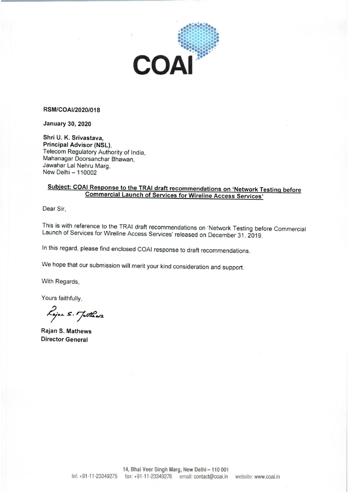

#### RSM/COAI/2020/018

**January 30, 2020** 

Shri U. K. Srivastava, Principal Advisor (NSL). Telecom Regulatory Authority of India. Mahanagar Doorsanchar Bhawan, Jawahar Lal Nehru Marg. New Delhi - 110002

# Subject: COAI Response to the TRAI draft recommendations on 'Network Testing before **Commercial Launch of Services for Wireline Access Services'**

Dear Sir.

This is with reference to the TRAI draft recommendations on 'Network Testing before Commercial Launch of Services for Wireline Access Services' released on December 31, 2019.

In this regard, please find enclosed COAI response to draft recommendations.

We hope that our submission will merit your kind consideration and support.

With Regards,

Yours faithfully,

Lojon s. Jothers

Rajan S. Mathews **Director General**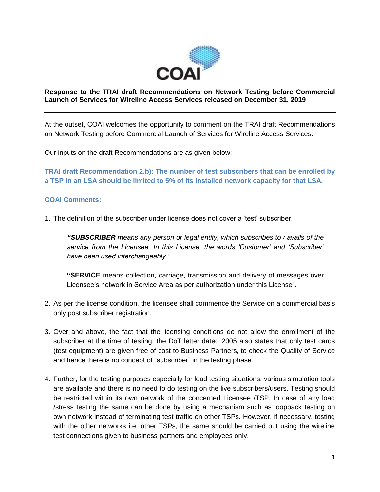

#### **Response to the TRAI draft Recommendations on Network Testing before Commercial Launch of Services for Wireline Access Services released on December 31, 2019**

At the outset, COAI welcomes the opportunity to comment on the TRAI draft Recommendations on Network Testing before Commercial Launch of Services for Wireline Access Services.

Our inputs on the draft Recommendations are as given below:

**TRAI draft Recommendation 2.b): The number of test subscribers that can be enrolled by a TSP in an LSA should be limited to 5% of its installed network capacity for that LSA.** 

## **COAI Comments:**

1. The definition of the subscriber under license does not cover a 'test' subscriber.

*"SUBSCRIBER means any person or legal entity, which subscribes to / avails of the service from the Licensee. In this License, the words 'Customer' and 'Subscriber' have been used interchangeably."* 

**"SERVICE** means collection, carriage, transmission and delivery of messages over Licensee's network in Service Area as per authorization under this License".

- 2. As per the license condition, the licensee shall commence the Service on a commercial basis only post subscriber registration.
- 3. Over and above, the fact that the licensing conditions do not allow the enrollment of the subscriber at the time of testing, the DoT letter dated 2005 also states that only test cards (test equipment) are given free of cost to Business Partners, to check the Quality of Service and hence there is no concept of "subscriber" in the testing phase.
- 4. Further, for the testing purposes especially for load testing situations, various simulation tools are available and there is no need to do testing on the live subscribers/users. Testing should be restricted within its own network of the concerned Licensee /TSP. In case of any load /stress testing the same can be done by using a mechanism such as loopback testing on own network instead of terminating test traffic on other TSPs. However, if necessary, testing with the other networks i.e. other TSPs, the same should be carried out using the wireline test connections given to business partners and employees only.